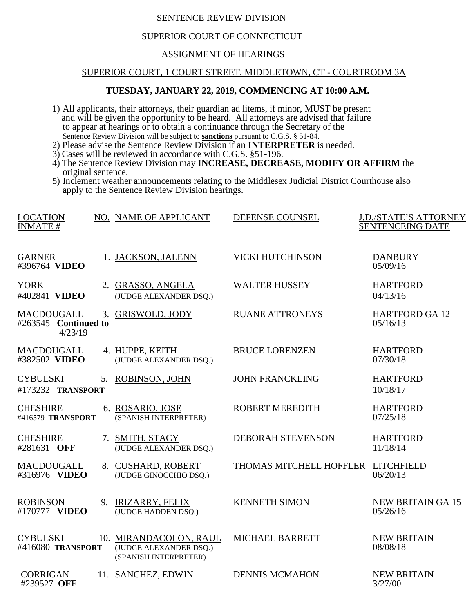# SENTENCE REVIEW DIVISION

# SUPERIOR COURT OF CONNECTICUT

#### ASSIGNMENT OF HEARINGS

### SUPERIOR COURT, 1 COURT STREET, MIDDLETOWN, CT - COURTROOM 3A

### **TUESDAY, JANUARY 22, 2019, COMMENCING AT 10:00 A.M.**

- 1) All applicants, their attorneys, their guardian ad litems, if minor, MUST be present and will be given the opportunity to be heard. All attorneys are advised that failure to appear at hearings or to obtain a continuance through the Secretary of the Sentence Review Division will be subject to **sanctions** pursuant to C.G.S. § 51-84.
- 2) Please advise the Sentence Review Division if an **INTERPRETER** is needed.
- 3) Cases will be reviewed in accordance with C.G.S. §51-196.
- 4) The Sentence Review Division may **INCREASE, DECREASE, MODIFY OR AFFIRM** the original sentence.
- 5) Inclement weather announcements relating to the Middlesex Judicial District Courthouse also apply to the Sentence Review Division hearings.

| <b>LOCATION</b><br><b>INMATE#</b>             |    | NO. NAME OF APPLICANT                                                     | DEFENSE COUNSEL                    | <b>J.D./STATE'S ATTORNEY</b><br><b>SENTENCEING DATE</b> |
|-----------------------------------------------|----|---------------------------------------------------------------------------|------------------------------------|---------------------------------------------------------|
| <b>GARNER</b><br>#396764 VIDEO                |    | 1. JACKSON, JALENN                                                        | <b>VICKI HUTCHINSON</b>            | <b>DANBURY</b><br>05/09/16                              |
| <b>YORK</b><br>#402841 VIDEO                  |    | 2. GRASSO, ANGELA<br>(JUDGE ALEXANDER DSQ.)                               | <b>WALTER HUSSEY</b>               | <b>HARTFORD</b><br>04/13/16                             |
| MACDOUGALL<br>#263545 Continued to<br>4/23/19 |    | 3. GRISWOLD, JODY                                                         | <b>RUANE ATTRONEYS</b>             | <b>HARTFORD GA 12</b><br>05/16/13                       |
| MACDOUGALL<br>#382502 VIDEO                   |    | 4. HUPPE, KEITH<br>(JUDGE ALEXANDER DSQ.)                                 | <b>BRUCE LORENZEN</b>              | <b>HARTFORD</b><br>07/30/18                             |
| <b>CYBULSKI</b><br>#173232 TRANSPORT          | 5. | <b>ROBINSON, JOHN</b>                                                     | <b>JOHN FRANCKLING</b>             | <b>HARTFORD</b><br>10/18/17                             |
| <b>CHESHIRE</b><br>#416579 TRANSPORT          |    | 6. ROSARIO, JOSE<br>(SPANISH INTERPRETER)                                 | <b>ROBERT MEREDITH</b>             | <b>HARTFORD</b><br>07/25/18                             |
| <b>CHESHIRE</b><br>#281631 OFF                |    | 7. SMITH, STACY<br>(JUDGE ALEXANDER DSQ.)                                 | <b>DEBORAH STEVENSON</b>           | <b>HARTFORD</b><br>11/18/14                             |
| <b>MACDOUGALL</b><br>#316976 VIDEO            |    | 8. CUSHARD, ROBERT<br>(JUDGE GINOCCHIO DSQ.)                              | THOMAS MITCHELL HOFFLER LITCHFIELD | 06/20/13                                                |
| <b>ROBINSON</b><br>#170777 VIDEO              |    | 9. IRIZARRY, FELIX<br>(JUDGE HADDEN DSO.)                                 | <b>KENNETH SIMON</b>               | <b>NEW BRITAIN GA 15</b><br>05/26/16                    |
| <b>CYBULSKI</b><br>#416080 TRANSPORT          |    | 10. MIRANDACOLON, RAUL<br>(JUDGE ALEXANDER DSQ.)<br>(SPANISH INTERPRETER) | <b>MICHAEL BARRETT</b>             | <b>NEW BRITAIN</b><br>08/08/18                          |
| <b>CORRIGAN</b><br>#239527 OFF                |    | 11. SANCHEZ, EDWIN                                                        | <b>DENNIS MCMAHON</b>              | <b>NEW BRITAIN</b><br>3/27/00                           |